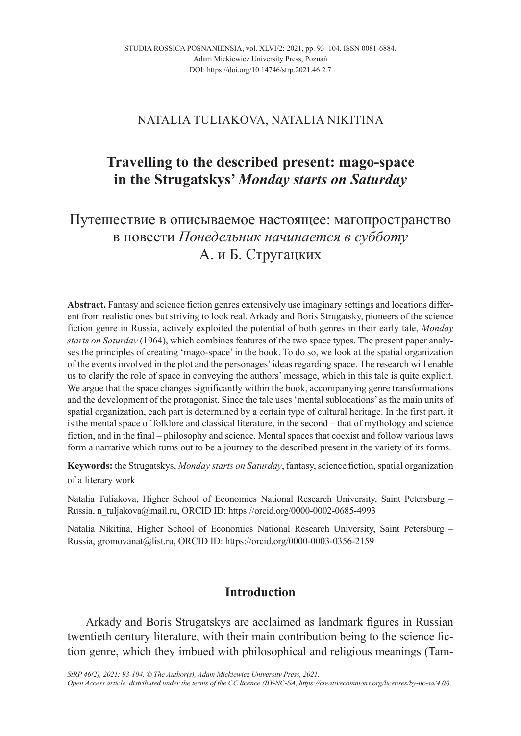### NATALIA TULIAKOVA, NATALIA NIKITINA

# **Travelling to the described present: mago-space in the Strugatskys'** *Monday starts on Saturday*

# Путешествие в описываемое настоящее: магопространство в повести *Понедельник начинается в субботу* А. и Б. Стругацких

**Abstract.** Fantasy and science fiction genres extensively use imaginary settings and locations different from realistic ones but striving to look real. Arkady and Boris Strugatsky, pioneers of the science fiction genre in Russia, actively exploited the potential of both genres in their early tale, *Monday starts on Saturday* (1964), which combines features of the two space types. The present paper analyses the principles of creating 'mago-space' in the book. To do so, we look at the spatial organization of the events involved in the plot and the personages' ideas regarding space. The research will enable us to clarify the role of space in conveying the authors' message, which in this tale is quite explicit. We argue that the space changes significantly within the book, accompanying genre transformations and the development of the protagonist. Since the tale uses 'mental sublocations' as the main units of spatial organization, each part is determined by a certain type of cultural heritage. In the first part, it is the mental space of folklore and classical literature, in the second – that of mythology and science fiction, and in the final – philosophy and science. Mental spaces that coexist and follow various laws form a narrative which turns out to be a journey to the described present in the variety of its forms.

**Keywords:** the Strugatskys, *Monday starts on Saturday*, fantasy, science fiction, spatial organization of a literary work

Natalia Tuliakova, Higher School of Economics National Research University, Saint Petersburg – Russia, n\_tuljakova@mail.ru, ORCID ID: https://orcid.org/0000-0002-0685-4993

Natalia Nikitina, Higher School of Economics National Research University, Saint Petersburg – Russia, gromovanat@list.ru, ORCID ID: https://orcid.org/0000-0003-0356-2159

### **Introduction**

Arkady and Boris Strugatskys are acclaimed as landmark figures in Russian twentieth century literature, with their main contribution being to the science fiction genre, which they imbued with philosophical and religious meanings (Tam-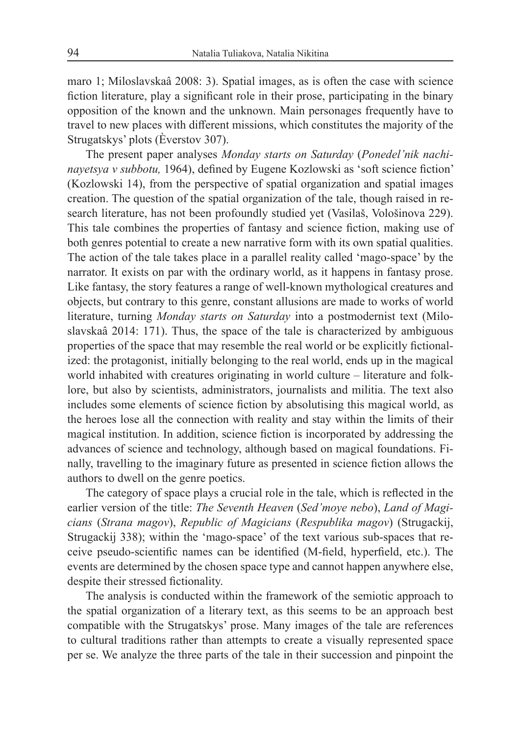maro 1; Miloslavskaâ 2008: 3). Spatial images, as is often the case with science fiction literature, play a significant role in their prose, participating in the binary opposition of the known and the unknown. Main personages frequently have to travel to new places with different missions, which constitutes the majority of the Strugatskys' plots (Èverstov 307).

The present paper analyses *Monday starts on Saturday* (*Ponedel'nik nachinayetsya v subbotu,* 1964), defined by Eugene Kozlowski as 'soft science fiction' (Kozlowski 14), from the perspective of spatial organization and spatial images creation. The question of the spatial organization of the tale, though raised in research literature, has not been profoundly studied yet (Vasilaš, Vološinova 229). This tale combines the properties of fantasy and science fiction, making use of both genres potential to create a new narrative form with its own spatial qualities. The action of the tale takes place in a parallel reality called 'mago-space' by the narrator. It exists on par with the ordinary world, as it happens in fantasy prose. Like fantasy, the story features a range of well-known mythological creatures and objects, but contrary to this genre, constant allusions are made to works of world literature, turning *Monday starts on Saturday* into a postmodernist text (Miloslavskaâ 2014: 171). Thus, the space of the tale is characterized by ambiguous properties of the space that may resemble the real world or be explicitly fictionalized: the protagonist, initially belonging to the real world, ends up in the magical world inhabited with creatures originating in world culture – literature and folklore, but also by scientists, administrators, journalists and militia. The text also includes some elements of science fiction by absolutising this magical world, as the heroes lose all the connection with reality and stay within the limits of their magical institution. In addition, science fiction is incorporated by addressing the advances of science and technology, although based on magical foundations. Finally, travelling to the imaginary future as presented in science fiction allows the authors to dwell on the genre poetics.

The category of space plays a crucial role in the tale, which is reflected in the earlier version of the title: *The Seventh Heaven* (*Sed'moye nebo*), *Land of Magicians* (*Strana magov*), *Republic of Magicians* (*Respublika magov*) (Strugackij, Strugackij 338); within the 'mago-space' of the text various sub-spaces that receive pseudo-scientific names can be identified (M-field, hyperfield, etc.). The events are determined by the chosen space type and cannot happen anywhere else, despite their stressed fictionality.

The analysis is conducted within the framework of the semiotic approach to the spatial organization of a literary text, as this seems to be an approach best compatible with the Strugatskys' prose. Many images of the tale are references to cultural traditions rather than attempts to create a visually represented space per se. We analyze the three parts of the tale in their succession and pinpoint the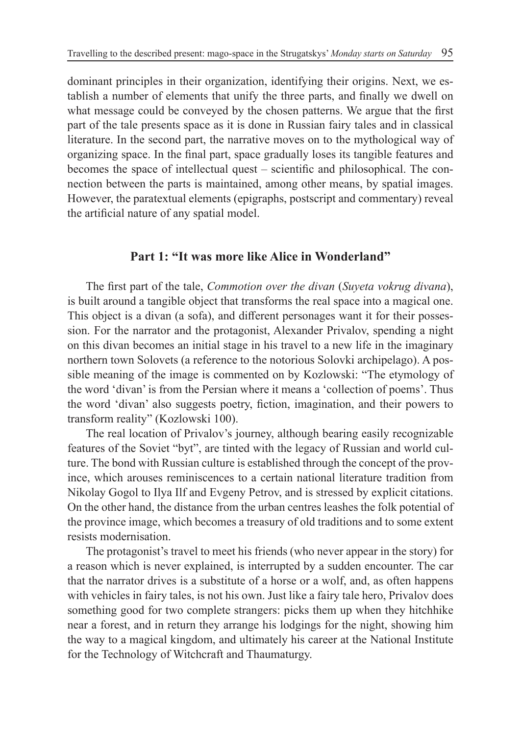dominant principles in their organization, identifying their origins. Next, we establish a number of elements that unify the three parts, and finally we dwell on what message could be conveyed by the chosen patterns. We argue that the first part of the tale presents space as it is done in Russian fairy tales and in classical literature. In the second part, the narrative moves on to the mythological way of organizing space. In the final part, space gradually loses its tangible features and becomes the space of intellectual quest – scientific and philosophical. The connection between the parts is maintained, among other means, by spatial images. However, the paratextual elements (epigraphs, postscript and commentary) reveal the artificial nature of any spatial model.

#### **Part 1: "It was more like Alice in Wonderland"**

The first part of the tale, *Commotion over the divan* (*Suyeta vokrug divana*), is built around a tangible object that transforms the real space into a magical one. This object is a divan (a sofa), and different personages want it for their possession. For the narrator and the protagonist, Alexander Privalov, spending a night on this divan becomes an initial stage in his travel to a new life in the imaginary northern town Solovets (a reference to the notorious Solovki archipelago). A possible meaning of the image is commented on by Kozlowski: "The etymology of the word 'divan' is from the Persian where it means a 'collection of poems'. Thus the word 'divan' also suggests poetry, fiction, imagination, and their powers to transform reality" (Kozlowski 100).

The real location of Privalov's journey, although bearing easily recognizable features of the Soviet "byt", are tinted with the legacy of Russian and world culture. The bond with Russian culture is established through the concept of the province, which arouses reminiscences to a certain national literature tradition from Nikolay Gogol to Ilya Ilf and Evgeny Petrov, and is stressed by explicit citations. On the other hand, the distance from the urban centres leashes the folk potential of the province image, which becomes a treasury of old traditions and to some extent resists modernisation.

The protagonist's travel to meet his friends (who never appear in the story) for a reason which is never explained, is interrupted by a sudden encounter. The car that the narrator drives is a substitute of a horse or a wolf, and, as often happens with vehicles in fairy tales, is not his own. Just like a fairy tale hero, Privalov does something good for two complete strangers: picks them up when they hitchhike near a forest, and in return they arrange his lodgings for the night, showing him the way to a magical kingdom, and ultimately his career at the National Institute for the Technology of Witchcraft and Thaumaturgy.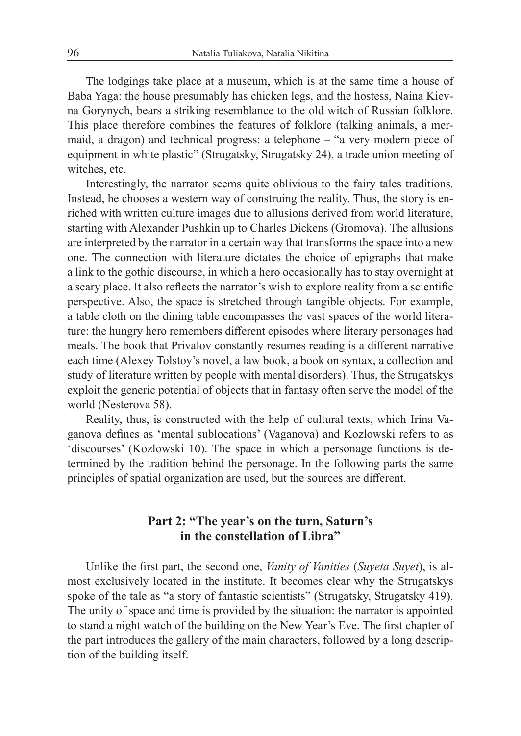The lodgings take place at a museum, which is at the same time a house of Baba Yaga: the house presumably has chicken legs, and the hostess, Naina Kievna Gorynych, bears a striking resemblance to the old witch of Russian folklore. This place therefore combines the features of folklore (talking animals, a mermaid, a dragon) and technical progress: a telephone – "a very modern piece of equipment in white plastic" (Strugatsky, Strugatsky 24), a trade union meeting of witches, etc.

Interestingly, the narrator seems quite oblivious to the fairy tales traditions. Instead, he chooses a western way of construing the reality. Thus, the story is enriched with written culture images due to allusions derived from world literature, starting with Alexander Pushkin up to Charles Dickens (Gromova). The allusions are interpreted by the narrator in a certain way that transforms the space into a new one. The connection with literature dictates the choice of epigraphs that make a link to the gothic discourse, in which a hero occasionally has to stay overnight at a scary place. It also reflects the narrator's wish to explore reality from a scientific perspective. Also, the space is stretched through tangible objects. For example, a table cloth on the dining table encompasses the vast spaces of the world literature: the hungry hero remembers different episodes where literary personages had meals. The book that Privalov constantly resumes reading is a different narrative each time (Alexey Tolstoy's novel, a law book, a book on syntax, a collection and study of literature written by people with mental disorders). Thus, the Strugatskys exploit the generic potential of objects that in fantasy often serve the model of the world (Nesterova 58).

Reality, thus, is constructed with the help of cultural texts, which Irina Vaganova defines as 'mental sublocations' (Vaganova) and Kozlowski refers to as 'discourses' (Kozlowski 10). The space in which a personage functions is determined by the tradition behind the personage. In the following parts the same principles of spatial organization are used, but the sources are different.

### **Part 2: "The year's on the turn, Saturn's in the constellation of Libra"**

Unlike the first part, the second one, *Vanity of Vanities* (*Suyeta Suyet*), is almost exclusively located in the institute. It becomes clear why the Strugatskys spoke of the tale as "a story of fantastic scientists" (Strugatsky, Strugatsky 419). The unity of space and time is provided by the situation: the narrator is appointed to stand a night watch of the building on the New Year's Eve. The first chapter of the part introduces the gallery of the main characters, followed by a long description of the building itself.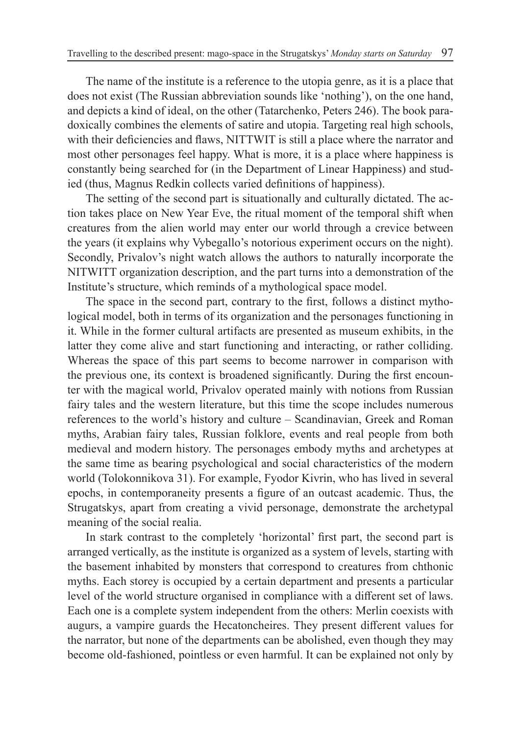The name of the institute is a reference to the utopia genre, as it is a place that does not exist (The Russian abbreviation sounds like 'nothing'), on the one hand, and depicts a kind of ideal, on the other (Tatarchenko, Peters 246). The book paradoxically combines the elements of satire and utopia. Targeting real high schools, with their deficiencies and flaws, NITTWIT is still a place where the narrator and most other personages feel happy. What is more, it is a place where happiness is constantly being searched for (in the Department of Linear Happiness) and studied (thus, Magnus Redkin collects varied definitions of happiness).

The setting of the second part is situationally and culturally dictated. The action takes place on New Year Eve, the ritual moment of the temporal shift when creatures from the alien world may enter our world through a crevice between the years (it explains why Vybegallo's notorious experiment occurs on the night). Secondly, Privalov's night watch allows the authors to naturally incorporate the NITWITT organization description, and the part turns into a demonstration of the Institute's structure, which reminds of a mythological space model.

The space in the second part, contrary to the first, follows a distinct mythological model, both in terms of its organization and the personages functioning in it. While in the former cultural artifacts are presented as museum exhibits, in the latter they come alive and start functioning and interacting, or rather colliding. Whereas the space of this part seems to become narrower in comparison with the previous one, its context is broadened significantly. During the first encounter with the magical world, Privalov operated mainly with notions from Russian fairy tales and the western literature, but this time the scope includes numerous references to the world's history and culture – Scandinavian, Greek and Roman myths, Arabian fairy tales, Russian folklore, events and real people from both medieval and modern history. The personages embody myths and archetypes at the same time as bearing psychological and social characteristics of the modern world (Tolokonnikova 31). For example, Fyodor Kivrin, who has lived in several epochs, in contemporaneity presents a figure of an outcast academic. Thus, the Strugatskys, apart from creating a vivid personage, demonstrate the archetypal meaning of the social realia.

In stark contrast to the completely 'horizontal' first part, the second part is arranged vertically, as the institute is organized as a system of levels, starting with the basement inhabited by monsters that correspond to creatures from chthonic myths. Each storey is occupied by a certain department and presents a particular level of the world structure organised in compliance with a different set of laws. Each one is a complete system independent from the others: Merlin coexists with augurs, a vampire guards the Hecatoncheires. They present different values for the narrator, but none of the departments can be abolished, even though they may become old-fashioned, pointless or even harmful. It can be explained not only by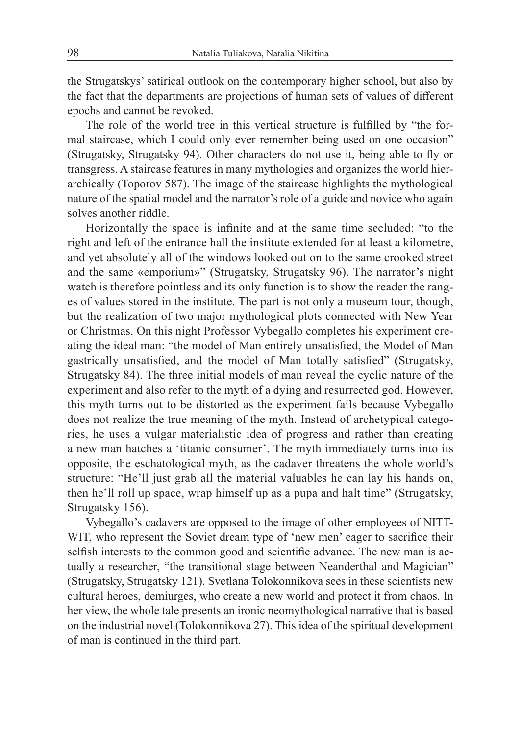the Strugatskys' satirical outlook on the contemporary higher school, but also by the fact that the departments are projections of human sets of values of different epochs and cannot be revoked.

The role of the world tree in this vertical structure is fulfilled by "the formal staircase, which I could only ever remember being used on one occasion" (Strugatsky, Strugatsky 94). Other characters do not use it, being able to fly or transgress. A staircase features in many mythologies and organizes the world hierarchically (Toporov 587). The image of the staircase highlights the mythological nature of the spatial model and the narrator's role of a guide and novice who again solves another riddle.

Horizontally the space is infinite and at the same time secluded: "to the right and left of the entrance hall the institute extended for at least a kilometre, and yet absolutely all of the windows looked out on to the same crooked street and the same «emporium»" (Strugatsky, Strugatsky 96). The narrator's night watch is therefore pointless and its only function is to show the reader the ranges of values stored in the institute. The part is not only a museum tour, though, but the realization of two major mythological plots connected with New Year or Christmas. On this night Professor Vybegallo completes his experiment creating the ideal man: "the model of Man entirely unsatisfied, the Model of Man gastrically unsatisfied, and the model of Man totally satisfied" (Strugatsky, Strugatsky 84). The three initial models of man reveal the cyclic nature of the experiment and also refer to the myth of a dying and resurrected god. However, this myth turns out to be distorted as the experiment fails because Vybegallo does not realize the true meaning of the myth. Instead of archetypical categories, he uses a vulgar materialistic idea of progress and rather than creating a new man hatches a 'titanic consumer'. The myth immediately turns into its opposite, the eschatological myth, as the cadaver threatens the whole world's structure: "He'll just grab all the material valuables he can lay his hands on, then he'll roll up space, wrap himself up as a pupa and halt time" (Strugatsky, Strugatsky 156).

Vybegallo's cadavers are opposed to the image of other employees of NITT-WIT, who represent the Soviet dream type of 'new men' eager to sacrifice their selfish interests to the common good and scientific advance. The new man is actually a researcher, "the transitional stage between Neanderthal and Magician" (Strugatsky, Strugatsky 121). Svetlana Tolokonnikova sees in these scientists new cultural heroes, demiurges, who create a new world and protect it from chaos. In her view, the whole tale presents an ironic neomythological narrative that is based on the industrial novel (Tolokonnikova 27). This idea of the spiritual development of man is continued in the third part.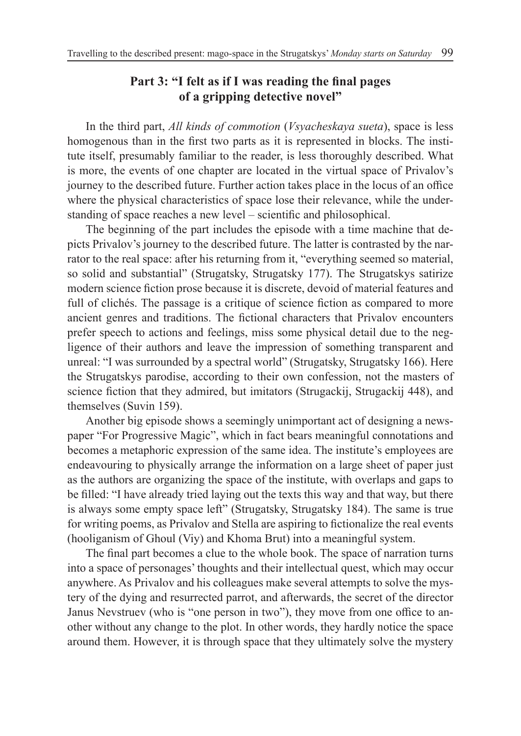## **Part 3: "I felt as if I was reading the final pages of a gripping detective novel"**

In the third part, *All kinds of commotion* (*Vsyacheskaya sueta*), space is less homogenous than in the first two parts as it is represented in blocks. The institute itself, presumably familiar to the reader, is less thoroughly described. What is more, the events of one chapter are located in the virtual space of Privalov's journey to the described future. Further action takes place in the locus of an office where the physical characteristics of space lose their relevance, while the understanding of space reaches a new level – scientific and philosophical.

The beginning of the part includes the episode with a time machine that depicts Privalov's journey to the described future. The latter is contrasted by the narrator to the real space: after his returning from it, "everything seemed so material, so solid and substantial" (Strugatsky, Strugatsky 177). The Strugatskys satirize modern science fiction prose because it is discrete, devoid of material features and full of clichés. The passage is a critique of science fiction as compared to more ancient genres and traditions. The fictional characters that Privalov encounters prefer speech to actions and feelings, miss some physical detail due to the negligence of their authors and leave the impression of something transparent and unreal: "I was surrounded by a spectral world" (Strugatsky, Strugatsky 166). Here the Strugatskys parodise, according to their own confession, not the masters of science fiction that they admired, but imitators (Strugackij, Strugackij 448), and themselves (Suvin 159).

Another big episode shows a seemingly unimportant act of designing a newspaper "For Progressive Magic", which in fact bears meaningful connotations and becomes a metaphoric expression of the same idea. The institute's employees are endeavouring to physically arrange the information on a large sheet of paper just as the authors are organizing the space of the institute, with overlaps and gaps to be filled: "I have already tried laying out the texts this way and that way, but there is always some empty space left" (Strugatsky, Strugatsky 184). The same is true for writing poems, as Privalov and Stella are aspiring to fictionalize the real events (hooliganism of Ghoul (Viy) and Khoma Brut) into a meaningful system.

The final part becomes a clue to the whole book. The space of narration turns into a space of personages' thoughts and their intellectual quest, which may occur anywhere. As Privalov and his colleagues make several attempts to solve the mystery of the dying and resurrected parrot, and afterwards, the secret of the director Janus Nevstruev (who is "one person in two"), they move from one office to another without any change to the plot. In other words, they hardly notice the space around them. However, it is through space that they ultimately solve the mystery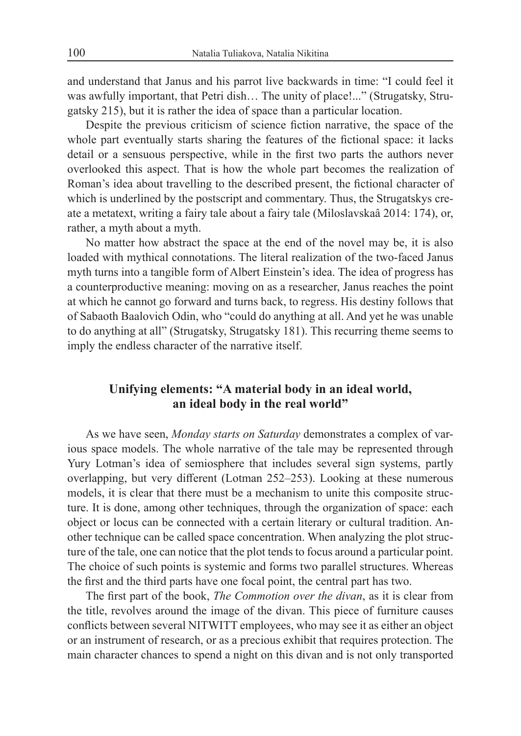and understand that Janus and his parrot live backwards in time: "I could feel it was awfully important, that Petri dish… The unity of place!..." (Strugatsky, Strugatsky 215), but it is rather the idea of space than a particular location.

Despite the previous criticism of science fiction narrative, the space of the whole part eventually starts sharing the features of the fictional space: it lacks detail or a sensuous perspective, while in the first two parts the authors never overlooked this aspect. That is how the whole part becomes the realization of Roman's idea about travelling to the described present, the fictional character of which is underlined by the postscript and commentary. Thus, the Strugatskys create a metatext, writing a fairy tale about a fairy tale (Miloslavskaâ 2014: 174), or, rather, a myth about a myth.

No matter how abstract the space at the end of the novel may be, it is also loaded with mythical connotations. The literal realization of the two-faced Janus myth turns into a tangible form of Albert Einstein's idea. The idea of progress has a counterproductive meaning: moving on as a researcher, Janus reaches the point at which he cannot go forward and turns back, to regress. His destiny follows that of Sabaoth Baalovich Odin, who "could do anything at all. And yet he was unable to do anything at all" (Strugatsky, Strugatsky 181). This recurring theme seems to imply the endless character of the narrative itself.

## **Unifying elements: "A material body in an ideal world, an ideal body in the real world"**

As we have seen, *Monday starts on Saturday* demonstrates a complex of various space models. The whole narrative of the tale may be represented through Yury Lotman's idea of semiosphere that includes several sign systems, partly overlapping, but very different (Lotman 252–253). Looking at these numerous models, it is clear that there must be a mechanism to unite this composite structure. It is done, among other techniques, through the organization of space: each object or locus can be connected with a certain literary or cultural tradition. Another technique can be called space concentration. When analyzing the plot structure of the tale, one can notice that the plot tends to focus around a particular point. The choice of such points is systemic and forms two parallel structures. Whereas the first and the third parts have one focal point, the central part has two.

The first part of the book, *The Commotion over the divan*, as it is clear from the title, revolves around the image of the divan. This piece of furniture causes conflicts between several NITWITT employees, who may see it as either an object or an instrument of research, or as a precious exhibit that requires protection. The main character chances to spend a night on this divan and is not only transported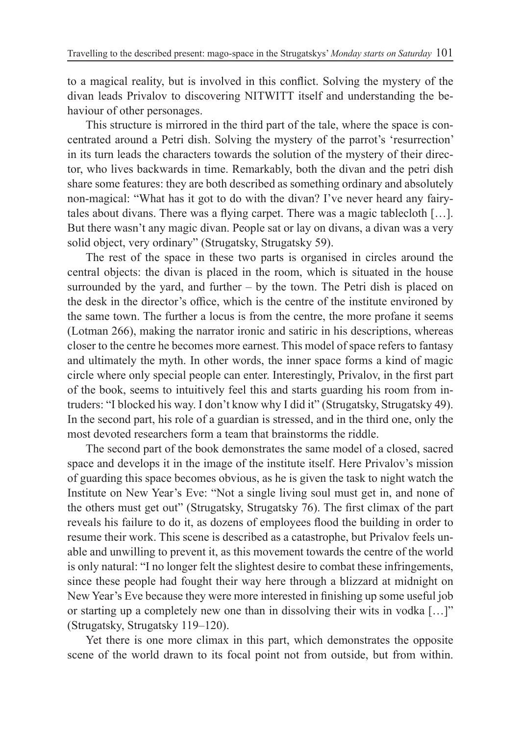to a magical reality, but is involved in this conflict. Solving the mystery of the divan leads Privalov to discovering NITWITT itself and understanding the behaviour of other personages.

This structure is mirrored in the third part of the tale, where the space is concentrated around a Petri dish. Solving the mystery of the parrot's 'resurrection' in its turn leads the characters towards the solution of the mystery of their director, who lives backwards in time. Remarkably, both the divan and the petri dish share some features: they are both described as something ordinary and absolutely non-magical: "What has it got to do with the divan? I've never heard any fairytales about divans. There was a flying carpet. There was a magic tablecloth […]. But there wasn't any magic divan. People sat or lay on divans, a divan was a very solid object, very ordinary" (Strugatsky, Strugatsky 59).

The rest of the space in these two parts is organised in circles around the central objects: the divan is placed in the room, which is situated in the house surrounded by the yard, and further  $-$  by the town. The Petri dish is placed on the desk in the director's office, which is the centre of the institute environed by the same town. The further a locus is from the centre, the more profane it seems (Lotman 266), making the narrator ironic and satiric in his descriptions, whereas closer to the centre he becomes more earnest. This model of space refers to fantasy and ultimately the myth. In other words, the inner space forms a kind of magic circle where only special people can enter. Interestingly, Privalov, in the first part of the book, seems to intuitively feel this and starts guarding his room from intruders: "I blocked his way. I don't know why I did it" (Strugatsky, Strugatsky 49). In the second part, his role of a guardian is stressed, and in the third one, only the most devoted researchers form a team that brainstorms the riddle.

The second part of the book demonstrates the same model of a closed, sacred space and develops it in the image of the institute itself. Here Privalov's mission of guarding this space becomes obvious, as he is given the task to night watch the Institute on New Year's Eve: "Not a single living soul must get in, and none of the others must get out" (Strugatsky, Strugatsky 76). The first climax of the part reveals his failure to do it, as dozens of employees flood the building in order to resume their work. This scene is described as a catastrophe, but Privalov feels unable and unwilling to prevent it, as this movement towards the centre of the world is only natural: "I no longer felt the slightest desire to combat these infringements, since these people had fought their way here through a blizzard at midnight on New Year's Eve because they were more interested in finishing up some useful job or starting up a completely new one than in dissolving their wits in vodka […]" (Strugatsky, Strugatsky 119–120).

Yet there is one more climax in this part, which demonstrates the opposite scene of the world drawn to its focal point not from outside, but from within.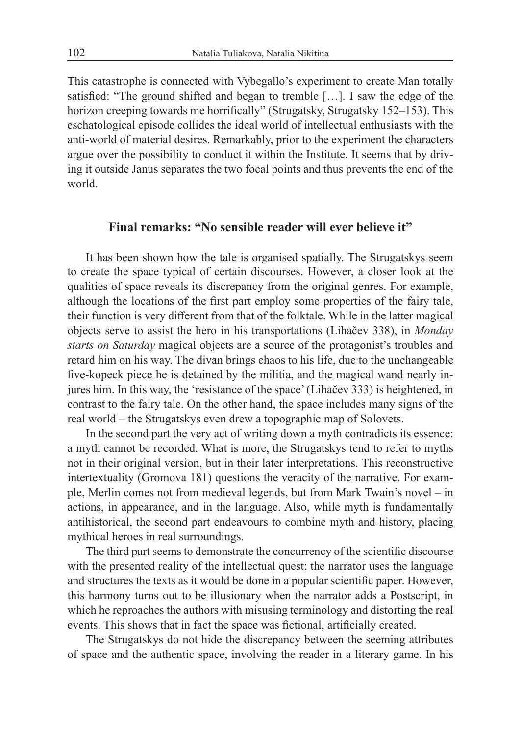This catastrophe is connected with Vybegallo's experiment to create Man totally satisfied: "The ground shifted and began to tremble […]. I saw the edge of the horizon creeping towards me horrifically" (Strugatsky, Strugatsky 152–153). This eschatological episode collides the ideal world of intellectual enthusiasts with the anti-world of material desires. Remarkably, prior to the experiment the characters argue over the possibility to conduct it within the Institute. It seems that by driving it outside Janus separates the two focal points and thus prevents the end of the world.

#### **Final remarks: "No sensible reader will ever believe it"**

It has been shown how the tale is organised spatially. The Strugatskys seem to create the space typical of certain discourses. However, a closer look at the qualities of space reveals its discrepancy from the original genres. For example, although the locations of the first part employ some properties of the fairy tale, their function is very different from that of the folktale. While in the latter magical objects serve to assist the hero in his transportations (Lihačev 338), in *Monday starts on Saturday* magical objects are a source of the protagonist's troubles and retard him on his way. The divan brings chaos to his life, due to the unchangeable five-kopeck piece he is detained by the militia, and the magical wand nearly injures him. In this way, the 'resistance of the space' (Lihačev 333) is heightened, in contrast to the fairy tale. On the other hand, the space includes many signs of the real world – the Strugatskys even drew a topographic map of Solovets.

In the second part the very act of writing down a myth contradicts its essence: a myth cannot be recorded. What is more, the Strugatskys tend to refer to myths not in their original version, but in their later interpretations. This reconstructive intertextuality (Gromova 181) questions the veracity of the narrative. For example, Merlin comes not from medieval legends, but from Mark Twain's novel – in actions, in appearance, and in the language. Also, while myth is fundamentally antihistorical, the second part endeavours to combine myth and history, placing mythical heroes in real surroundings.

The third part seems to demonstrate the concurrency of the scientific discourse with the presented reality of the intellectual quest: the narrator uses the language and structures the texts as it would be done in a popular scientific paper. However, this harmony turns out to be illusionary when the narrator adds a Postscript, in which he reproaches the authors with misusing terminology and distorting the real events. This shows that in fact the space was fictional, artificially created.

The Strugatskys do not hide the discrepancy between the seeming attributes of space and the authentic space, involving the reader in a literary game. In his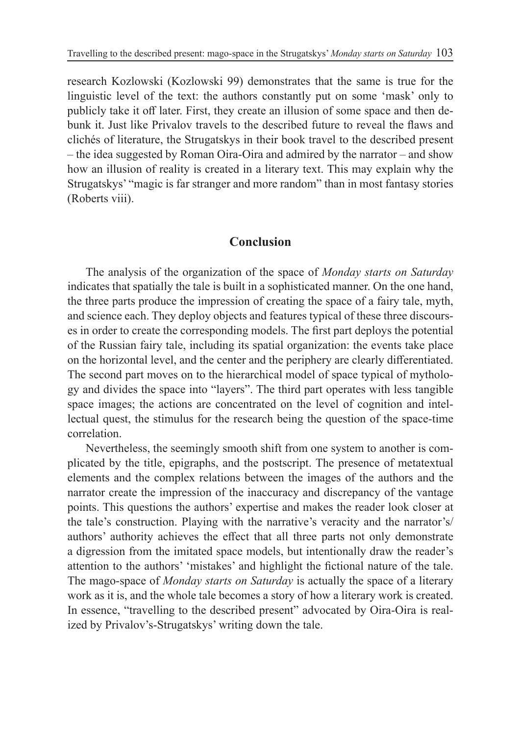research Kozlowski (Kozlowski 99) demonstrates that the same is true for the linguistic level of the text: the authors constantly put on some 'mask' only to publicly take it off later. First, they create an illusion of some space and then debunk it. Just like Privalov travels to the described future to reveal the flaws and clichés of literature, the Strugatskys in their book travel to the described present – the idea suggested by Roman Oira-Oira and admired by the narrator – and show how an illusion of reality is created in a literary text. This may explain why the Strugatskys' "magic is far stranger and more random" than in most fantasy stories (Roberts viii).

#### **Conclusion**

The analysis of the organization of the space of *Monday starts on Saturday* indicates that spatially the tale is built in a sophisticated manner. On the one hand, the three parts produce the impression of creating the space of a fairy tale, myth, and science each. They deploy objects and features typical of these three discourses in order to create the corresponding models. The first part deploys the potential of the Russian fairy tale, including its spatial organization: the events take place on the horizontal level, and the center and the periphery are clearly differentiated. The second part moves on to the hierarchical model of space typical of mythology and divides the space into "layers". The third part operates with less tangible space images; the actions are concentrated on the level of cognition and intellectual quest, the stimulus for the research being the question of the space-time correlation.

Nevertheless, the seemingly smooth shift from one system to another is complicated by the title, epigraphs, and the postscript. The presence of metatextual elements and the complex relations between the images of the authors and the narrator create the impression of the inaccuracy and discrepancy of the vantage points. This questions the authors' expertise and makes the reader look closer at the tale's construction. Playing with the narrative's veracity and the narrator's/ authors' authority achieves the effect that all three parts not only demonstrate a digression from the imitated space models, but intentionally draw the reader's attention to the authors' 'mistakes' and highlight the fictional nature of the tale. The mago-space of *Monday starts on Saturday* is actually the space of a literary work as it is, and the whole tale becomes a story of how a literary work is created. In essence, "travelling to the described present" advocated by Oira-Oira is realized by Privalov's-Strugatskys' writing down the tale.